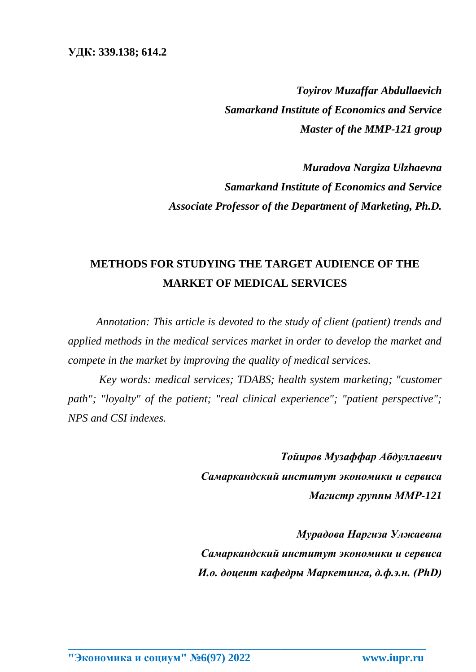*Toyirov Muzaffar Abdullaevich Samarkand Institute of Economics and Service Master of the MMP-121 group*

*Muradova Nargiza Ulzhaevna Samarkand Institute of Economics and Service Associate Professor of the Department of Marketing, Ph.D.*

## **METHODS FOR STUDYING THE TARGET AUDIENCE OF THE MARKET OF MEDICAL SERVICES**

*Annotation: This article is devoted to the study of client (patient) trends and applied methods in the medical services market in order to develop the market and compete in the market by improving the quality of medical services.*

*Key words: medical services; TDABS; health system marketing; "customer path"; "loyalty" of the patient; "real clinical experience"; "patient perspective"; NPS and CSI indexes.*

**\_\_\_\_\_\_\_\_\_\_\_\_\_\_\_\_\_\_\_\_\_\_\_\_\_\_\_\_\_\_\_\_\_\_\_\_\_\_\_\_\_\_\_\_\_\_\_\_\_\_\_\_\_\_\_\_\_\_\_\_\_\_\_\_**

*Тойиров Музаффар Абдуллаевич Самаркандский институт экономики и сервиса Магистр группы ММР-121*

*Мурадова Наргиза Улжаевна Самаркандский институт экономики и сервиса И.о. доцент кафедры Маркетинга, д.ф.э.н. (PhD)*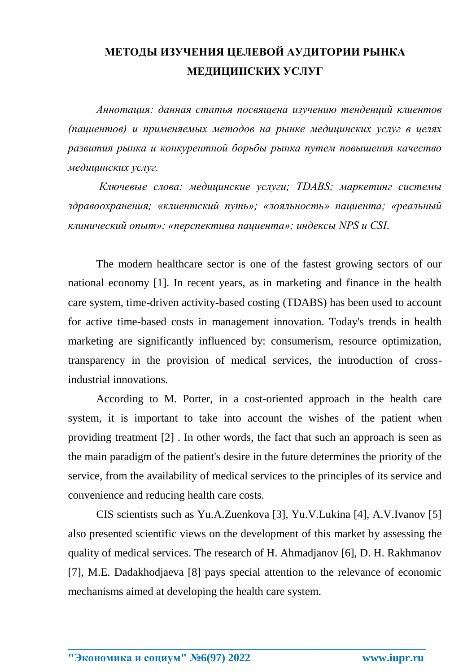## **МЕТОДЫ ИЗУЧЕНИЯ ЦЕЛЕВОЙ АУДИТОРИИ РЫНКА МЕДИЦИНСКИХ УСЛУГ**

*Аннотация: данная статья посвящена изучению тенденций клиентов (пациентов) и применяемых методов на рынке медицинских услуг в целях развития рынка и конкурентной борьбы рынка путем повышения качество медицинских услуг.*

*Ключевые слова: медицинские услуги; TDABS; маркетинг системы здравоохранения; «клиентский путь»; «лояльность» пациента; «реальный клинический опыт»; «перспектива пациента»; индексы NPS и CSI.*

The modern healthcare sector is one of the fastest growing sectors of our national economy [1]. In recent years, as in marketing and finance in the health care system, time-driven activity-based costing (TDABS) has been used to account for active time-based costs in management innovation. Today's trends in health marketing are significantly influenced by: consumerism, resource optimization, transparency in the provision of medical services, the introduction of crossindustrial innovations.

According to M. Porter, in a cost-oriented approach in the health care system, it is important to take into account the wishes of the patient when providing treatment [2] . In other words, the fact that such an approach is seen as the main paradigm of the patient's desire in the future determines the priority of the service, from the availability of medical services to the principles of its service and convenience and reducing health care costs.

CIS scientists such as Yu.A.Zuenkova [3], Yu.V.Lukina [4], A.V.Ivanov [5] also presented scientific views on the development of this market by assessing the quality of medical services. The research of H. Ahmadjanov [6], D. H. Rakhmanov [7], M.E. Dadakhodjaeva [8] pays special attention to the relevance of economic mechanisms aimed at developing the health care system.

**\_\_\_\_\_\_\_\_\_\_\_\_\_\_\_\_\_\_\_\_\_\_\_\_\_\_\_\_\_\_\_\_\_\_\_\_\_\_\_\_\_\_\_\_\_\_\_\_\_\_\_\_\_\_\_\_\_\_\_\_\_\_\_\_**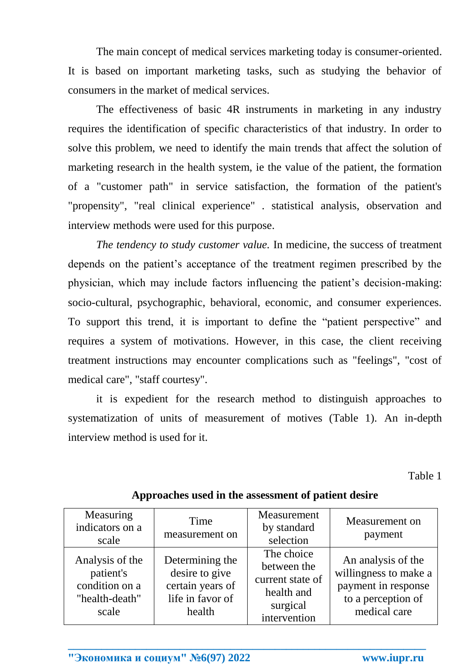The main concept of medical services marketing today is consumer-oriented. It is based on important marketing tasks, such as studying the behavior of consumers in the market of medical services.

The effectiveness of basic 4R instruments in marketing in any industry requires the identification of specific characteristics of that industry. In order to solve this problem, we need to identify the main trends that affect the solution of marketing research in the health system, ie the value of the patient, the formation of a "customer path" in service satisfaction, the formation of the patient's "propensity", "real clinical experience" . statistical analysis, observation and interview methods were used for this purpose.

*The tendency to study customer value.* In medicine, the success of treatment depends on the patient's acceptance of the treatment regimen prescribed by the physician, which may include factors influencing the patient's decision-making: socio-cultural, psychographic, behavioral, economic, and consumer experiences. To support this trend, it is important to define the "patient perspective" and requires a system of motivations. However, in this case, the client receiving treatment instructions may encounter complications such as "feelings", "cost of medical care", "staff courtesy".

it is expedient for the research method to distinguish approaches to systematization of units of measurement of motives (Table 1). An in-depth interview method is used for it.

Table 1

| Measuring<br>indicators on a<br>scale                                     | Time<br>measurement on                                                              | Measurement<br>by standard<br>selection                                                 | Measurement on<br>payment                                                                                |
|---------------------------------------------------------------------------|-------------------------------------------------------------------------------------|-----------------------------------------------------------------------------------------|----------------------------------------------------------------------------------------------------------|
| Analysis of the<br>patient's<br>condition on a<br>"health-death"<br>scale | Determining the<br>desire to give<br>certain years of<br>life in favor of<br>health | The choice<br>between the<br>current state of<br>health and<br>surgical<br>intervention | An analysis of the<br>willingness to make a<br>payment in response<br>to a perception of<br>medical care |

**\_\_\_\_\_\_\_\_\_\_\_\_\_\_\_\_\_\_\_\_\_\_\_\_\_\_\_\_\_\_\_\_\_\_\_\_\_\_\_\_\_\_\_\_\_\_\_\_\_\_\_\_\_\_\_\_\_\_\_\_\_\_\_\_**

**Approaches used in the assessment of patient desire**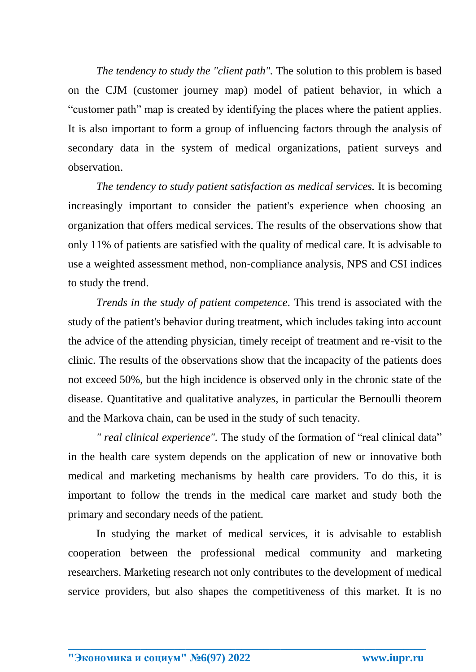*The tendency to study the "client path".* The solution to this problem is based on the CJM (customer journey map) model of patient behavior, in which a "customer path" map is created by identifying the places where the patient applies. It is also important to form a group of influencing factors through the analysis of secondary data in the system of medical organizations, patient surveys and observation.

*The tendency to study patient satisfaction as medical services.* It is becoming increasingly important to consider the patient's experience when choosing an organization that offers medical services. The results of the observations show that only 11% of patients are satisfied with the quality of medical care. It is advisable to use a weighted assessment method, non-compliance analysis, NPS and CSI indices to study the trend.

*Trends in the study of patient competence.* This trend is associated with the study of the patient's behavior during treatment, which includes taking into account the advice of the attending physician, timely receipt of treatment and re-visit to the clinic. The results of the observations show that the incapacity of the patients does not exceed 50%, but the high incidence is observed only in the chronic state of the disease. Quantitative and qualitative analyzes, in particular the Bernoulli theorem and the Markova chain, can be used in the study of such tenacity.

*" real clinical experience".* The study of the formation of "real clinical data" in the health care system depends on the application of new or innovative both medical and marketing mechanisms by health care providers. To do this, it is important to follow the trends in the medical care market and study both the primary and secondary needs of the patient.

In studying the market of medical services, it is advisable to establish cooperation between the professional medical community and marketing researchers. Marketing research not only contributes to the development of medical service providers, but also shapes the competitiveness of this market. It is no

**\_\_\_\_\_\_\_\_\_\_\_\_\_\_\_\_\_\_\_\_\_\_\_\_\_\_\_\_\_\_\_\_\_\_\_\_\_\_\_\_\_\_\_\_\_\_\_\_\_\_\_\_\_\_\_\_\_\_\_\_\_\_\_\_**